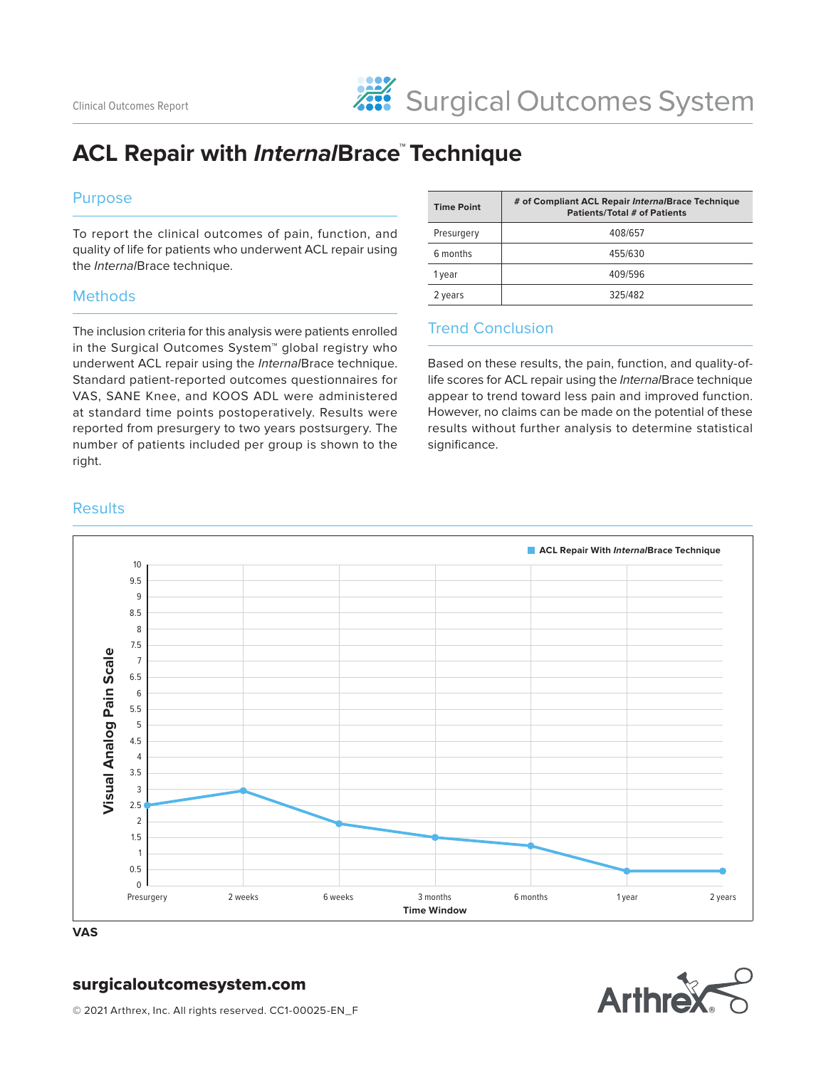# **ACL Repair with InternalBrace™ Technique**

### Purpose

To report the clinical outcomes of pain, function, and quality of life for patients who underwent ACL repair using the InternalBrace technique.

#### **Methods**

The inclusion criteria for this analysis were patients enrolled in the Surgical Outcomes System™ global registry who underwent ACL repair using the InternalBrace technique. Standard patient-reported outcomes questionnaires for VAS, SANE Knee, and KOOS ADL were administered at standard time points postoperatively. Results were reported from presurgery to two years postsurgery. The number of patients included per group is shown to the right.

| <b>Time Point</b> | # of Compliant ACL Repair InternalBrace Technique<br><b>Patients/Total # of Patients</b> |
|-------------------|------------------------------------------------------------------------------------------|
| Presurgery        | 408/657                                                                                  |
| 6 months          | 455/630                                                                                  |
| 1 year            | 409/596                                                                                  |
| 2 years           | 325/482                                                                                  |

### Trend Conclusion

Based on these results, the pain, function, and quality-oflife scores for ACL repair using the InternalBrace technique appear to trend toward less pain and improved function. However, no claims can be made on the potential of these results without further analysis to determine statistical significance.

#### **Results**



**VAS**

## surgicaloutcomesystem.com



© 2021 Arthrex, Inc. All rights reserved. CC1-00025-EN\_F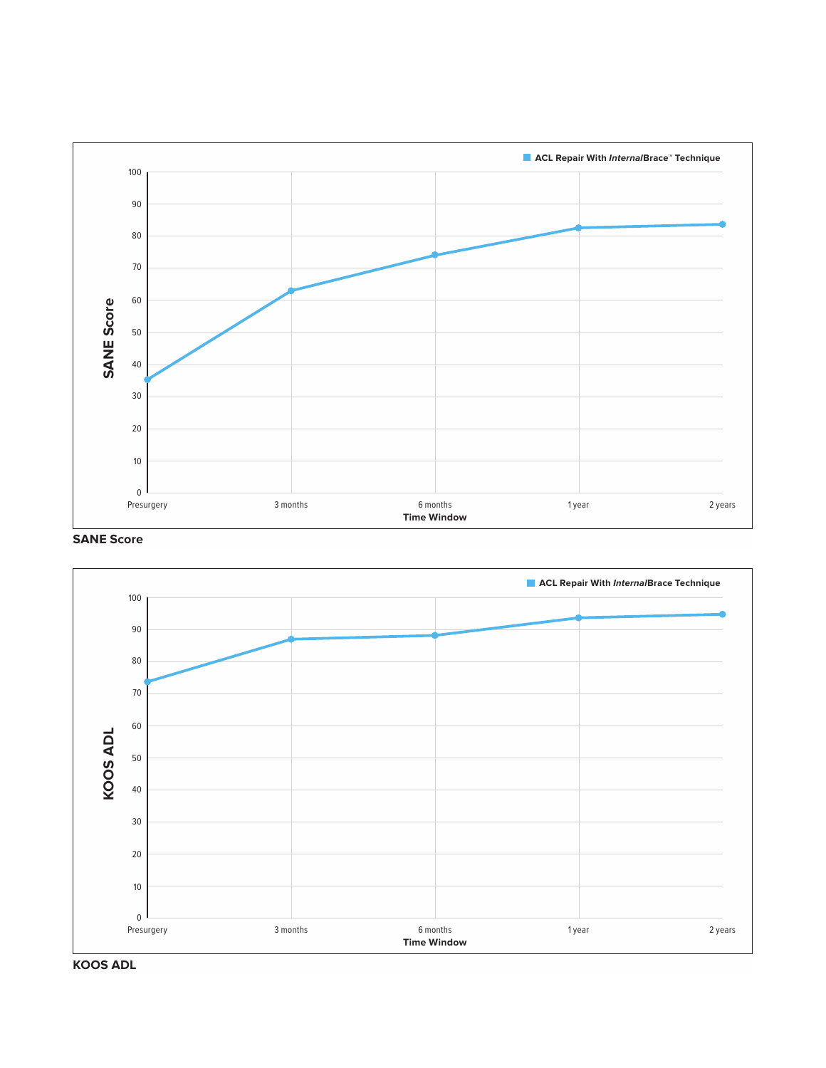

#### **SANE Score**